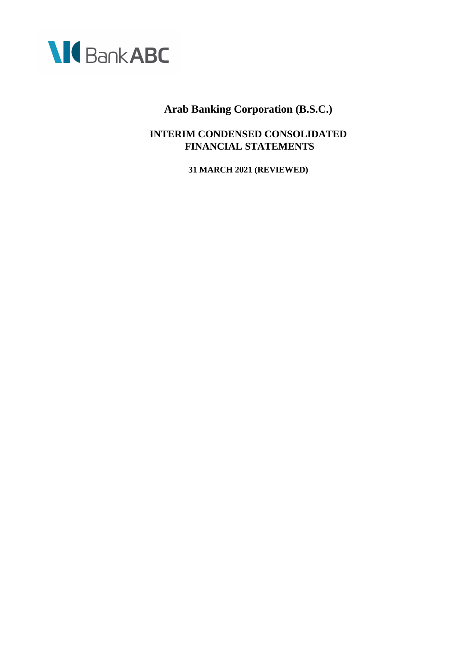

**INTERIM CONDENSED CONSOLIDATED FINANCIAL STATEMENTS**

**31 MARCH 2021 (REVIEWED)**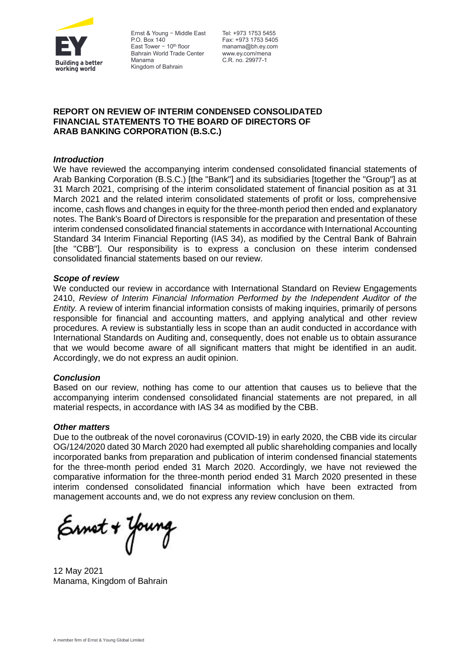

Ernst & Young — Middle East Tel: +973 1753 5455 P.O. Box 140 East Tower  $-10^{th}$  floor Bahrain World Trade Center Manama Kingdom of Bahrain

Fax: +973 1753 5405 manama@bh.ey.com www.ey.com/mena C.R. no. 29977-1

## **REPORT ON REVIEW OF INTERIM CONDENSED CONSOLIDATED FINANCIAL STATEMENTS TO THE BOARD OF DIRECTORS OF ARAB BANKING CORPORATION (B.S.C.)**

## *Introduction*

We have reviewed the accompanying interim condensed consolidated financial statements of Arab Banking Corporation (B.S.C.) [the "Bank"] and its subsidiaries [together the "Group"] as at 31 March 2021, comprising of the interim consolidated statement of financial position as at 31 March 2021 and the related interim consolidated statements of profit or loss, comprehensive income, cash flows and changes in equity for the three-month period then ended and explanatory notes. The Bank's Board of Directors is responsible for the preparation and presentation of these interim condensed consolidated financial statements in accordance with International Accounting Standard 34 Interim Financial Reporting (IAS 34), as modified by the Central Bank of Bahrain [the "CBB"]. Our responsibility is to express a conclusion on these interim condensed consolidated financial statements based on our review.

## *Scope of review*

We conducted our review in accordance with International Standard on Review Engagements 2410, *Review of Interim Financial Information Performed by the Independent Auditor of the Entity.* A review of interim financial information consists of making inquiries, primarily of persons responsible for financial and accounting matters, and applying analytical and other review procedures. A review is substantially less in scope than an audit conducted in accordance with International Standards on Auditing and, consequently, does not enable us to obtain assurance that we would become aware of all significant matters that might be identified in an audit. Accordingly, we do not express an audit opinion.

## *Conclusion*

Based on our review, nothing has come to our attention that causes us to believe that the accompanying interim condensed consolidated financial statements are not prepared, in all material respects, in accordance with IAS 34 as modified by the CBB.

## *Other matters*

Due to the outbreak of the novel coronavirus (COVID-19) in early 2020, the CBB vide its circular OG/124/2020 dated 30 March 2020 had exempted all public shareholding companies and locally incorporated banks from preparation and publication of interim condensed financial statements for the three-month period ended 31 March 2020. Accordingly, we have not reviewed the comparative information for the three-month period ended 31 March 2020 presented in these interim condensed consolidated financial information which have been extracted from management accounts and, we do not express any review conclusion on them.

Ernet + Young

12 May 2021 Manama, Kingdom of Bahrain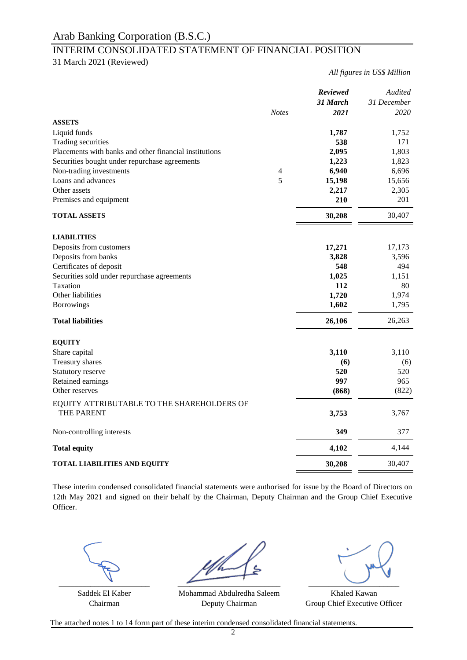## INTERIM CONSOLIDATED STATEMENT OF FINANCIAL POSITION

31 March 2021 (Reviewed)

*All figures in US\$ Million*

|                                                        |              | Reviewed | Audited     |
|--------------------------------------------------------|--------------|----------|-------------|
|                                                        |              | 31 March | 31 December |
|                                                        | <b>Notes</b> | 2021     | 2020        |
| <b>ASSETS</b>                                          |              |          |             |
| Liquid funds                                           |              | 1,787    | 1,752       |
| Trading securities                                     |              | 538      | 171         |
| Placements with banks and other financial institutions |              | 2,095    | 1,803       |
| Securities bought under repurchase agreements          |              | 1,223    | 1,823       |
| Non-trading investments                                | 4            | 6,940    | 6,696       |
| Loans and advances                                     | 5            | 15,198   | 15,656      |
| Other assets                                           |              | 2,217    | 2,305       |
| Premises and equipment                                 |              | 210      | 201         |
| <b>TOTAL ASSETS</b>                                    |              | 30,208   | 30,407      |
| <b>LIABILITIES</b>                                     |              |          |             |
| Deposits from customers                                |              | 17,271   | 17,173      |
| Deposits from banks                                    |              | 3,828    | 3,596       |
| Certificates of deposit                                |              | 548      | 494         |
| Securities sold under repurchase agreements            |              | 1,025    | 1,151       |
| Taxation                                               |              | 112      | 80          |
| Other liabilities                                      |              | 1,720    | 1,974       |
| <b>Borrowings</b>                                      |              | 1,602    | 1,795       |
| <b>Total liabilities</b>                               |              | 26,106   |             |
|                                                        |              |          | 26,263      |
| <b>EQUITY</b>                                          |              |          |             |
| Share capital                                          |              | 3,110    | 3,110       |
| Treasury shares                                        |              | (6)      | (6)         |
| Statutory reserve                                      |              | 520      | 520         |
| Retained earnings                                      |              | 997      | 965         |
| Other reserves                                         |              | (868)    | (822)       |
| EQUITY ATTRIBUTABLE TO THE SHAREHOLDERS OF             |              |          |             |
| THE PARENT                                             |              | 3,753    | 3,767       |
| Non-controlling interests                              |              | 349      | 377         |
| <b>Total equity</b>                                    |              | 4,102    | 4,144       |
| <b>TOTAL LIABILITIES AND EQUITY</b>                    |              | 30,208   | 30,407      |

These interim condensed consolidated financial statements were authorised for issue by the Board of Directors on 12th May 2021 and signed on their behalf by the Chairman, Deputy Chairman and the Group Chief Executive Officer.



Saddek El Kaber Khaled Kawan Mohammad Abdulredha Saleem Chairman Deputy Chairman Group Chief Executive Officer Deputy Chairman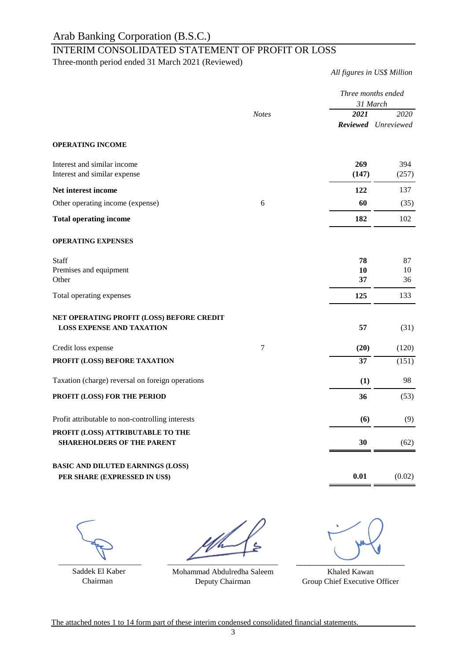## INTERIM CONSOLIDATED STATEMENT OF PROFIT OR LOSS

Three-month period ended 31 March 2021 (Reviewed)

*All figures in US\$ Million*

|                                                                               |                | 31 March       | Three months ended          |
|-------------------------------------------------------------------------------|----------------|----------------|-----------------------------|
|                                                                               | <b>Notes</b>   | 2021           | 2020<br>Reviewed Unreviewed |
| <b>OPERATING INCOME</b>                                                       |                |                |                             |
| Interest and similar income<br>Interest and similar expense                   |                | 269<br>(147)   | 394<br>(257)                |
| Net interest income                                                           |                | 122            | 137                         |
| Other operating income (expense)                                              | 6              | 60             | (35)                        |
| <b>Total operating income</b>                                                 |                | 182            | 102                         |
| <b>OPERATING EXPENSES</b>                                                     |                |                |                             |
| <b>Staff</b><br>Premises and equipment<br>Other                               |                | 78<br>10<br>37 | 87<br>10<br>36              |
| Total operating expenses                                                      |                | 125            | 133                         |
| NET OPERATING PROFIT (LOSS) BEFORE CREDIT<br><b>LOSS EXPENSE AND TAXATION</b> |                | 57             | (31)                        |
| Credit loss expense                                                           | $\overline{7}$ | (20)           | (120)                       |
| PROFIT (LOSS) BEFORE TAXATION                                                 |                | 37             | (151)                       |
| Taxation (charge) reversal on foreign operations                              |                | (1)            | 98                          |
| PROFIT (LOSS) FOR THE PERIOD                                                  |                | 36             | (53)                        |
| Profit attributable to non-controlling interests                              |                | (6)            | (9)                         |
| PROFIT (LOSS) ATTRIBUTABLE TO THE<br><b>SHAREHOLDERS OF THE PARENT</b>        |                | 30             | (62)                        |
| <b>BASIC AND DILUTED EARNINGS (LOSS)</b><br>PER SHARE (EXPRESSED IN US\$)     |                | 0.01           | (0.02)                      |

 $\overline{\phantom{a}}$  , and the set of the set of the set of the set of the set of the set of the set of the set of the set of the set of the set of the set of the set of the set of the set of the set of the set of the set of the s

 Saddek El Kaber Chairman

 $\overbrace{\phantom{xxxxx}}^{x}$ 

Mohammad Abdulredha Saleem Deputy Chairman

 $\overbrace{\phantom{aaaaa}}^{x}$ 

Khaled Kawan Group Chief Executive Officer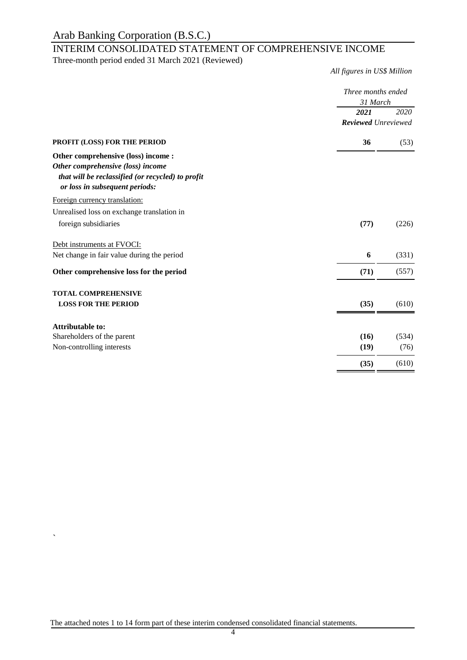## INTERIM CONSOLIDATED STATEMENT OF COMPREHENSIVE INCOME

Three-month period ended 31 March 2021 (Reviewed)

*All figures in US\$ Million*

|                                                                                     | Three months ended<br>31 March |       |
|-------------------------------------------------------------------------------------|--------------------------------|-------|
|                                                                                     | 2021                           | 2020  |
|                                                                                     | <b>Reviewed</b> Unreviewed     |       |
| PROFIT (LOSS) FOR THE PERIOD                                                        | 36                             | (53)  |
| Other comprehensive (loss) income :                                                 |                                |       |
| Other comprehensive (loss) income                                                   |                                |       |
| that will be reclassified (or recycled) to profit<br>or loss in subsequent periods: |                                |       |
| Foreign currency translation:                                                       |                                |       |
| Unrealised loss on exchange translation in                                          |                                |       |
| foreign subsidiaries                                                                | (77)                           | (226) |
| Debt instruments at FVOCI:                                                          |                                |       |
| Net change in fair value during the period                                          | 6                              | (331) |
| Other comprehensive loss for the period                                             | (71)                           | (557) |
| <b>TOTAL COMPREHENSIVE</b>                                                          |                                |       |
| <b>LOSS FOR THE PERIOD</b>                                                          | (35)                           | (610) |
| <b>Attributable to:</b>                                                             |                                |       |
| Shareholders of the parent                                                          | (16)                           | (534) |
| Non-controlling interests                                                           | (19)                           | (76)  |
|                                                                                     | (35)                           | (610) |

 $\ddot{\phantom{0}}$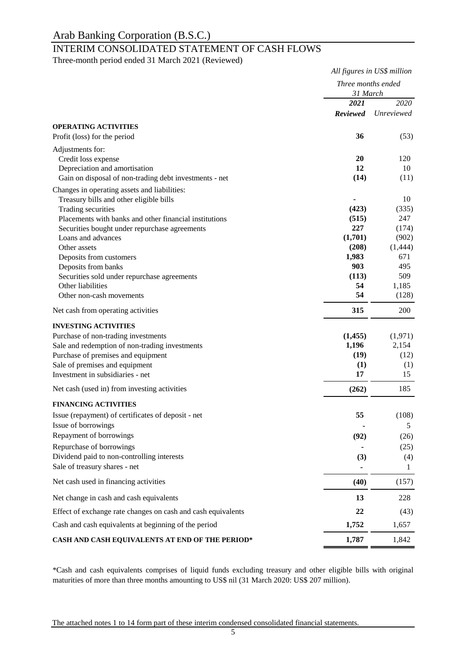## INTERIM CONSOLIDATED STATEMENT OF CASH FLOWS

Three-month period ended 31 March 2021 (Reviewed)

|                                                                           | All figures in US\$ million<br>Three months ended<br>31 March |                   |  |
|---------------------------------------------------------------------------|---------------------------------------------------------------|-------------------|--|
|                                                                           |                                                               |                   |  |
|                                                                           | 2021                                                          | 2020              |  |
|                                                                           | <b>Reviewed</b>                                               | <b>Unreviewed</b> |  |
| <b>OPERATING ACTIVITIES</b>                                               |                                                               |                   |  |
| Profit (loss) for the period                                              | 36                                                            | (53)              |  |
| Adjustments for:                                                          |                                                               |                   |  |
| Credit loss expense                                                       | 20                                                            | 120               |  |
| Depreciation and amortisation                                             | 12<br>(14)                                                    | 10<br>(11)        |  |
| Gain on disposal of non-trading debt investments - net                    |                                                               |                   |  |
| Changes in operating assets and liabilities:                              |                                                               |                   |  |
| Treasury bills and other eligible bills<br>Trading securities             | (423)                                                         | 10<br>(335)       |  |
| Placements with banks and other financial institutions                    | (515)                                                         | 247               |  |
| Securities bought under repurchase agreements                             | 227                                                           | (174)             |  |
| Loans and advances                                                        | (1,701)                                                       | (902)             |  |
| Other assets                                                              | (208)                                                         | (1,444)           |  |
| Deposits from customers                                                   | 1,983                                                         | 671               |  |
| Deposits from banks                                                       | 903                                                           | 495               |  |
| Securities sold under repurchase agreements                               | (113)                                                         | 509               |  |
| Other liabilities                                                         | 54                                                            | 1,185             |  |
| Other non-cash movements                                                  | 54                                                            | (128)             |  |
| Net cash from operating activities                                        | 315                                                           | 200               |  |
| <b>INVESTING ACTIVITIES</b>                                               |                                                               |                   |  |
| Purchase of non-trading investments                                       | (1, 455)                                                      | (1,971)           |  |
| Sale and redemption of non-trading investments                            | 1,196                                                         | 2,154             |  |
| Purchase of premises and equipment                                        | (19)                                                          | (12)              |  |
| Sale of premises and equipment<br>Investment in subsidiaries - net        | (1)<br>17                                                     | (1)<br>15         |  |
|                                                                           |                                                               |                   |  |
| Net cash (used in) from investing activities                              | (262)                                                         | 185               |  |
| <b>FINANCING ACTIVITIES</b>                                               |                                                               |                   |  |
| Issue (repayment) of certificates of deposit - net<br>Issue of borrowings | 55                                                            | (108)             |  |
| Repayment of borrowings                                                   |                                                               | 5                 |  |
|                                                                           | (92)                                                          | (26)              |  |
| Repurchase of borrowings<br>Dividend paid to non-controlling interests    |                                                               | (25)              |  |
| Sale of treasury shares - net                                             | (3)                                                           | (4)<br>1          |  |
| Net cash used in financing activities                                     | (40)                                                          | (157)             |  |
| Net change in cash and cash equivalents                                   | 13                                                            | 228               |  |
| Effect of exchange rate changes on cash and cash equivalents              | 22                                                            | (43)              |  |
| Cash and cash equivalents at beginning of the period                      | 1,752                                                         | 1,657             |  |
| CASH AND CASH EQUIVALENTS AT END OF THE PERIOD*                           | 1,787                                                         | 1,842             |  |
|                                                                           |                                                               |                   |  |

\*Cash and cash equivalents comprises of liquid funds excluding treasury and other eligible bills with original maturities of more than three months amounting to US\$ nil (31 March 2020: US\$ 207 million).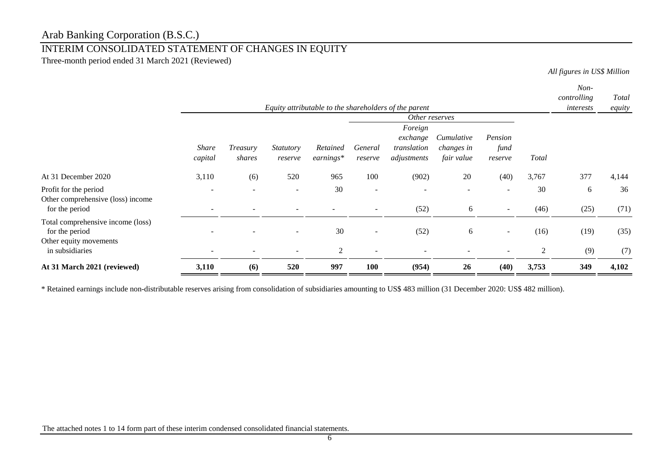## INTERIM CONSOLIDATED STATEMENT OF CHANGES IN EQUITY

Three-month period ended 31 March 2021 (Reviewed)

*All figures in US\$ Million*

|                                                                                                  |                         |                                                                         |                             |                         |                          |                                                   |                                        |                                                      |            | Non-        |              |
|--------------------------------------------------------------------------------------------------|-------------------------|-------------------------------------------------------------------------|-----------------------------|-------------------------|--------------------------|---------------------------------------------------|----------------------------------------|------------------------------------------------------|------------|-------------|--------------|
|                                                                                                  |                         |                                                                         |                             |                         |                          |                                                   |                                        |                                                      |            | controlling | <b>Total</b> |
|                                                                                                  |                         | Equity attributable to the shareholders of the parent<br>Other reserves |                             |                         |                          |                                                   |                                        |                                                      | interests  | equity      |              |
|                                                                                                  | <b>Share</b><br>capital | Treasury<br>shares                                                      | <i>Statutory</i><br>reserve | Retained<br>$earnings*$ | General<br>reserve       | Foreign<br>exchange<br>translation<br>adjustments | Cumulative<br>changes in<br>fair value | Pension<br>fund<br>reserve                           | Total      |             |              |
| At 31 December 2020                                                                              | 3,110                   | (6)                                                                     | 520                         | 965                     | 100                      | (902)                                             | 20                                     | (40)                                                 | 3,767      | 377         | 4,144        |
| Profit for the period<br>Other comprehensive (loss) income<br>for the period                     |                         |                                                                         | ۰                           | 30                      | $\overline{\phantom{a}}$ | (52)                                              | 6                                      |                                                      | 30<br>(46) | 6<br>(25)   | 36<br>(71)   |
| Total comprehensive income (loss)<br>for the period<br>Other equity movements<br>in subsidiaries |                         |                                                                         | $\overline{\phantom{a}}$    | 30<br>2                 | $\sim$<br>$\sim$         | (52)                                              | 6                                      | $\overline{\phantom{a}}$<br>$\overline{\phantom{0}}$ | (16)<br>2  | (19)<br>(9) | (35)<br>(7)  |
| At 31 March 2021 (reviewed)                                                                      | 3,110                   | (6)                                                                     | 520                         | 997                     | 100                      | (954)                                             | 26                                     | (40)                                                 | 3,753      | 349         | 4,102        |

\* Retained earnings include non-distributable reserves arising from consolidation of subsidiaries amounting to US\$ 483 million (31 December 2020: US\$ 482 million).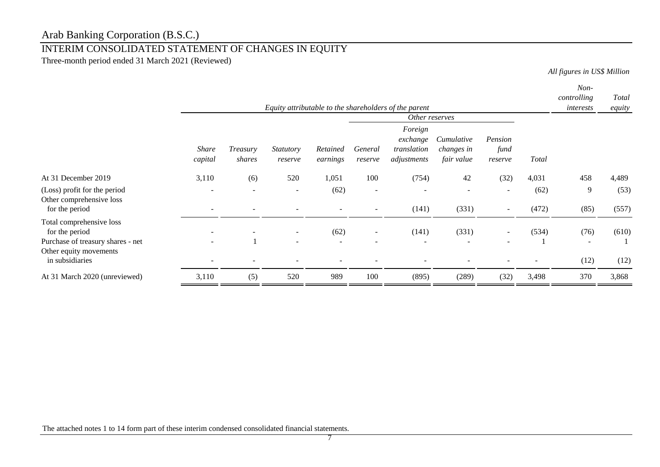# INTERIM CONSOLIDATED STATEMENT OF CHANGES IN EQUITY

Three-month period ended 31 March 2021 (Reviewed)

*All figures in US\$ Million*

|                                                                                 |                         |                    |                                                      |                      |                                                      | Equity attributable to the shareholders of the parent |                                        |                            |               | Non-<br>controlling<br>interests | Total<br>equity |
|---------------------------------------------------------------------------------|-------------------------|--------------------|------------------------------------------------------|----------------------|------------------------------------------------------|-------------------------------------------------------|----------------------------------------|----------------------------|---------------|----------------------------------|-----------------|
|                                                                                 |                         |                    |                                                      |                      |                                                      | Other reserves                                        |                                        |                            |               |                                  |                 |
|                                                                                 | <i>Share</i><br>capital | Treasury<br>shares | Statutory<br>reserve                                 | Retained<br>earnings | General<br>reserve                                   | Foreign<br>exchange<br>translation<br>adjustments     | Cumulative<br>changes in<br>fair value | Pension<br>fund<br>reserve | Total         |                                  |                 |
| At 31 December 2019                                                             | 3,110                   | (6)                | 520                                                  | 1,051                | 100                                                  | (754)                                                 | 42                                     | (32)                       | 4,031         | 458                              | 4,489           |
| (Loss) profit for the period<br>Other comprehensive loss<br>for the period      |                         |                    | $\overline{\phantom{a}}$                             | (62)                 | $\overline{\phantom{a}}$<br>$\overline{\phantom{a}}$ | (141)                                                 | (331)                                  | $\sim$                     | (62)<br>(472) | 9<br>(85)                        | (53)<br>(557)   |
| Total comprehensive loss<br>for the period<br>Purchase of treasury shares - net |                         |                    | $\overline{\phantom{a}}$<br>$\overline{\phantom{a}}$ | (62)                 | $\sim$                                               | (141)<br>$\overline{\phantom{0}}$                     | (331)                                  |                            | (534)         | (76)<br>$\overline{\phantom{a}}$ | (610)           |
| Other equity movements<br>in subsidiaries                                       |                         |                    |                                                      |                      |                                                      |                                                       |                                        |                            |               | (12)                             | (12)            |
| At 31 March 2020 (unreviewed)                                                   | 3,110                   | (5)                | 520                                                  | 989                  | 100                                                  | (895)                                                 | (289)                                  | (32)                       | 3,498         | 370                              | 3,868           |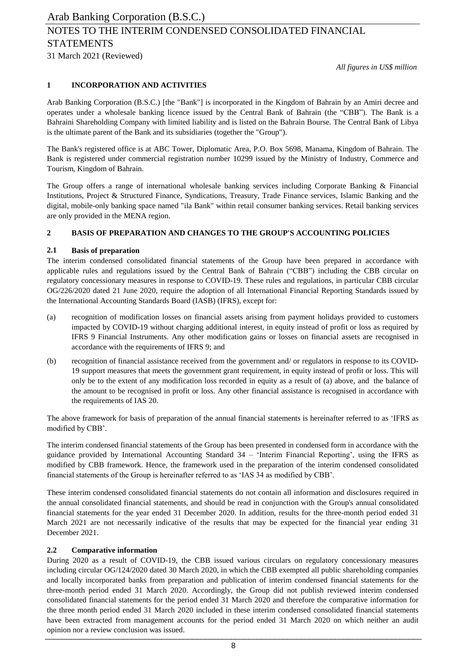*All figures in US\$ million*

## **1 INCORPORATION AND ACTIVITIES**

Arab Banking Corporation (B.S.C.) [the "Bank"] is incorporated in the Kingdom of Bahrain by an Amiri decree and operates under a wholesale banking licence issued by the Central Bank of Bahrain (the "CBB"). The Bank is a Bahraini Shareholding Company with limited liability and is listed on the Bahrain Bourse. The Central Bank of Libya is the ultimate parent of the Bank and its subsidiaries (together the "Group").

The Bank's registered office is at ABC Tower, Diplomatic Area, P.O. Box 5698, Manama, Kingdom of Bahrain. The Bank is registered under commercial registration number 10299 issued by the Ministry of Industry, Commerce and Tourism, Kingdom of Bahrain.

The Group offers a range of international wholesale banking services including Corporate Banking & Financial Institutions, Project & Structured Finance, Syndications, Treasury, Trade Finance services, Islamic Banking and the digital, mobile-only banking space named "ila Bank" within retail consumer banking services. Retail banking services are only provided in the MENA region.

## **2 BASIS OF PREPARATION AND CHANGES TO THE GROUP'S ACCOUNTING POLICIES**

## **2.1 Basis of preparation**

The interim condensed consolidated financial statements of the Group have been prepared in accordance with applicable rules and regulations issued by the Central Bank of Bahrain ("CBB") including the CBB circular on regulatory concessionary measures in response to COVID-19. These rules and regulations, in particular CBB circular OG/226/2020 dated 21 June 2020, require the adoption of all International Financial Reporting Standards issued by the International Accounting Standards Board (IASB) (IFRS), except for:

- (a) recognition of modification losses on financial assets arising from payment holidays provided to customers impacted by COVID-19 without charging additional interest, in equity instead of profit or loss as required by IFRS 9 Financial Instruments. Any other modification gains or losses on financial assets are recognised in accordance with the requirements of IFRS 9; and
- (b) recognition of financial assistance received from the government and/ or regulators in response to its COVID-19 support measures that meets the government grant requirement, in equity instead of profit or loss. This will only be to the extent of any modification loss recorded in equity as a result of (a) above, and the balance of the amount to be recognised in profit or loss. Any other financial assistance is recognised in accordance with the requirements of IAS 20.

The above framework for basis of preparation of the annual financial statements is hereinafter referred to as 'IFRS as modified by CBB'.

The interim condensed financial statements of the Group has been presented in condensed form in accordance with the guidance provided by International Accounting Standard 34 – 'Interim Financial Reporting', using the IFRS as modified by CBB framework. Hence, the framework used in the preparation of the interim condensed consolidated financial statements of the Group is hereinafter referred to as 'IAS 34 as modified by CBB'.

These interim condensed consolidated financial statements do not contain all information and disclosures required in the annual consolidated financial statements, and should be read in conjunction with the Group's annual consolidated financial statements for the year ended 31 December 2020. In addition, results for the three-month period ended 31 March 2021 are not necessarily indicative of the results that may be expected for the financial year ending 31 December 2021.

## **2.2 Comparative information**

During 2020 as a result of COVID-19, the CBB issued various circulars on regulatory concessionary measures including circular OG/124/2020 dated 30 March 2020, in which the CBB exempted all public shareholding companies and locally incorporated banks from preparation and publication of interim condensed financial statements for the three-month period ended 31 March 2020. Accordingly, the Group did not publish reviewed interim condensed consolidated financial statements for the period ended 31 March 2020 and therefore the comparative information for the three month period ended 31 March 2020 included in these interim condensed consolidated financial statements have been extracted from management accounts for the period ended 31 March 2020 on which neither an audit opinion nor a review conclusion was issued.  $\mathcal{L}_{\text{S}}$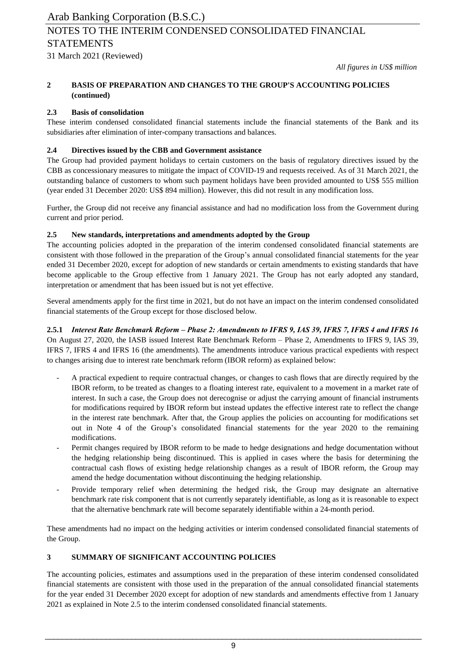## 31 March 2021 (Reviewed) NOTES TO THE INTERIM CONDENSED CONSOLIDATED FINANCIAL STATEMENTS

*All figures in US\$ million*

#### **2 BASIS OF PREPARATION AND CHANGES TO THE GROUP'S ACCOUNTING POLICIES (continued)**

## **2.3 Basis of consolidation**

These interim condensed consolidated financial statements include the financial statements of the Bank and its subsidiaries after elimination of inter-company transactions and balances.

## **2.4 Directives issued by the CBB and Government assistance**

The Group had provided payment holidays to certain customers on the basis of regulatory directives issued by the CBB as concessionary measures to mitigate the impact of COVID-19 and requests received. As of 31 March 2021, the outstanding balance of customers to whom such payment holidays have been provided amounted to US\$ 555 million (year ended 31 December 2020: US\$ 894 million). However, this did not result in any modification loss.

Further, the Group did not receive any financial assistance and had no modification loss from the Government during current and prior period.

## **2.5 New standards, interpretations and amendments adopted by the Group**

The accounting policies adopted in the preparation of the interim condensed consolidated financial statements are consistent with those followed in the preparation of the Group's annual consolidated financial statements for the year ended 31 December 2020, except for adoption of new standards or certain amendments to existing standards that have become applicable to the Group effective from 1 January 2021. The Group has not early adopted any standard, interpretation or amendment that has been issued but is not yet effective.

Several amendments apply for the first time in 2021, but do not have an impact on the interim condensed consolidated financial statements of the Group except for those disclosed below.

**2.5.1** *Interest Rate Benchmark Reform – Phase 2: Amendments to IFRS 9, IAS 39, IFRS 7, IFRS 4 and IFRS 16* On August 27, 2020, the IASB issued Interest Rate Benchmark Reform – Phase 2, Amendments to IFRS 9, IAS 39, IFRS 7, IFRS 4 and IFRS 16 (the amendments). The amendments introduce various practical expedients with respect to changes arising due to interest rate benchmark reform (IBOR reform) as explained below:

- A practical expedient to require contractual changes, or changes to cash flows that are directly required by the IBOR reform, to be treated as changes to a floating interest rate, equivalent to a movement in a market rate of interest. In such a case, the Group does not derecognise or adjust the carrying amount of financial instruments for modifications required by IBOR reform but instead updates the effective interest rate to reflect the change in the interest rate benchmark. After that, the Group applies the policies on accounting for modifications set out in Note 4 of the Group's consolidated financial statements for the year 2020 to the remaining modifications.
- Permit changes required by IBOR reform to be made to hedge designations and hedge documentation without the hedging relationship being discontinued. This is applied in cases where the basis for determining the contractual cash flows of existing hedge relationship changes as a result of IBOR reform, the Group may amend the hedge documentation without discontinuing the hedging relationship.
- Provide temporary relief when determining the hedged risk, the Group may designate an alternative benchmark rate risk component that is not currently separately identifiable, as long as it is reasonable to expect that the alternative benchmark rate will become separately identifiable within a 24-month period.

These amendments had no impact on the hedging activities or interim condensed consolidated financial statements of the Group.

## **3 SUMMARY OF SIGNIFICANT ACCOUNTING POLICIES**

The accounting policies, estimates and assumptions used in the preparation of these interim condensed consolidated financial statements are consistent with those used in the preparation of the annual consolidated financial statements for the year ended 31 December 2020 except for adoption of new standards and amendments effective from 1 January 2021 as explained in Note 2.5 to the interim condensed consolidated financial statements.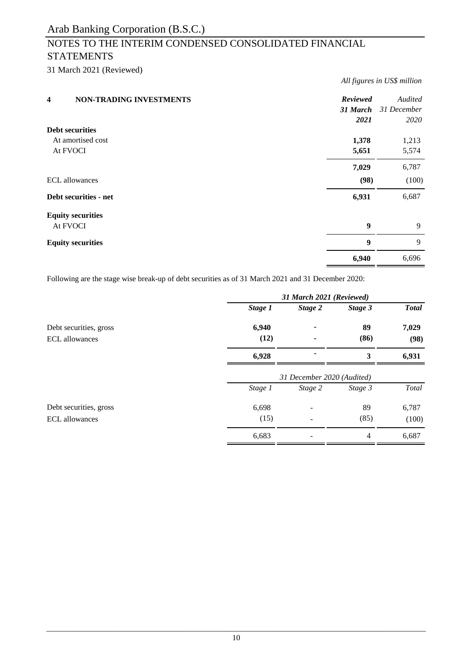# NOTES TO THE INTERIM CONDENSED CONSOLIDATED FINANCIAL **STATEMENTS**

31 March 2021 (Reviewed)

| <b>NON-TRADING INVESTMENTS</b><br>$\overline{\mathbf{4}}$ | <b>Reviewed</b><br>31 March<br>2021 | Audited<br>31 December<br>2020 |
|-----------------------------------------------------------|-------------------------------------|--------------------------------|
| <b>Debt securities</b>                                    |                                     |                                |
| At amortised cost                                         | 1,378                               | 1,213                          |
| At FVOCI                                                  | 5,651                               | 5,574                          |
|                                                           | 7,029                               | 6,787                          |
| <b>ECL</b> allowances                                     | (98)                                | (100)                          |
| Debt securities - net                                     | 6,931                               | 6,687                          |
| <b>Equity securities</b>                                  |                                     |                                |
| At FVOCI                                                  | $\boldsymbol{9}$                    | 9                              |
| <b>Equity securities</b>                                  | 9                                   | 9                              |
|                                                           | 6,940                               | 6,696                          |

*All figures in US\$ million*

Following are the stage wise break-up of debt securities as of 31 March 2021 and 31 December 2020:

|                        | 31 March 2021 (Reviewed)   |         |         |              |  |
|------------------------|----------------------------|---------|---------|--------------|--|
|                        | Stage 1                    | Stage 2 | Stage 3 | <b>Total</b> |  |
| Debt securities, gross | 6,940                      |         | 89      | 7,029        |  |
| <b>ECL</b> allowances  | (12)                       |         | (86)    | (98)         |  |
|                        | 6,928                      |         | 3       | 6,931        |  |
|                        | 31 December 2020 (Audited) |         |         |              |  |
|                        | Stage 1                    | Stage 2 | Stage 3 | Total        |  |
| Debt securities, gross | 6,698                      |         | 89      | 6,787        |  |
| <b>ECL</b> allowances  | (15)                       |         | (85)    | (100)        |  |
|                        | 6,683                      |         | 4       | 6,687        |  |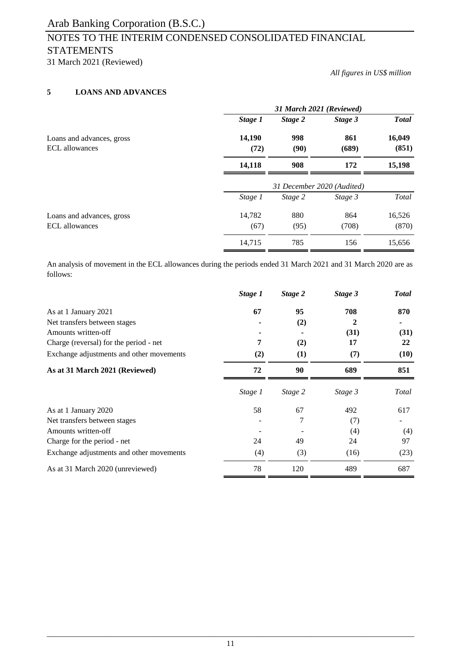# NOTES TO THE INTERIM CONDENSED CONSOLIDATED FINANCIAL **STATEMENTS**

31 March 2021 (Reviewed)

*All figures in US\$ million*

## **5 LOANS AND ADVANCES**

|                                                    | 31 March 2021 (Reviewed)   |             |              |                 |  |  |  |
|----------------------------------------------------|----------------------------|-------------|--------------|-----------------|--|--|--|
|                                                    | Stage 1                    | Stage 2     | Stage 3      | <b>Total</b>    |  |  |  |
| Loans and advances, gross<br><b>ECL</b> allowances | 14,190<br>(72)             | 998<br>(90) | 861<br>(689) | 16,049<br>(851) |  |  |  |
|                                                    | 14,118                     | 908         | 172          | 15,198          |  |  |  |
|                                                    | 31 December 2020 (Audited) |             |              |                 |  |  |  |
|                                                    | Stage 1                    | Stage 2     | Stage 3      | Total           |  |  |  |
| Loans and advances, gross                          | 14,782                     | 880         | 864          | 16,526          |  |  |  |
| <b>ECL</b> allowances                              | (67)                       | (95)        | (708)        | (870)           |  |  |  |
|                                                    | 14,715                     | 785         | 156          | 15,656          |  |  |  |

An analysis of movement in the ECL allowances during the periods ended 31 March 2021 and 31 March 2020 are as follows:

|                                          | Stage 1 | Stage 2 | Stage 3 | <b>Total</b> |
|------------------------------------------|---------|---------|---------|--------------|
| As at 1 January 2021                     | 67      | 95      | 708     | 870          |
| Net transfers between stages             |         | (2)     | 2       |              |
| Amounts written-off                      |         |         | (31)    | (31)         |
| Charge (reversal) for the period - net   | 7       | (2)     | 17      | 22           |
| Exchange adjustments and other movements | (2)     | (1)     | (7)     | (10)         |
| As at 31 March 2021 (Reviewed)           | 72      | 90      | 689     | 851          |
|                                          | Stage 1 | Stage 2 | Stage 3 | Total        |
| As at 1 January 2020                     | 58      | 67      | 492     | 617          |
| Net transfers between stages             |         |         | (7)     |              |
| Amounts written-off                      |         |         | (4)     | (4)          |
| Charge for the period - net              | 24      | 49      | 24      | 97           |
| Exchange adjustments and other movements | (4)     | (3)     | (16)    | (23)         |
| As at 31 March 2020 (unreviewed)         | 78      | 120     | 489     | 687          |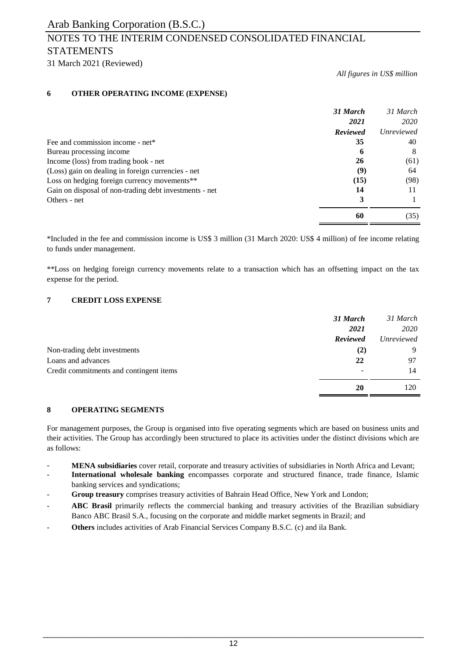# NOTES TO THE INTERIM CONDENSED CONSOLIDATED FINANCIAL **STATEMENTS**

31 March 2021 (Reviewed)

*All figures in US\$ million*

## **6 OTHER OPERATING INCOME (EXPENSE)**

| 31 March                                                     | 31 March          |
|--------------------------------------------------------------|-------------------|
| 2021                                                         | 2020              |
| <b>Reviewed</b>                                              | <i>Unreviewed</i> |
| 35<br>Fee and commission income - net*                       | 40                |
| Bureau processing income<br>h                                | 8                 |
| <b>26</b><br>Income (loss) from trading book - net           | (61)              |
| (Loss) gain on dealing in foreign currencies - net<br>(9)    | 64                |
| (15)<br>Loss on hedging foreign currency movements**         | (98)              |
| Gain on disposal of non-trading debt investments - net<br>14 |                   |
| Others - net                                                 |                   |
| 60                                                           | (35)              |

\*Included in the fee and commission income is US\$ 3 million (31 March 2020: US\$ 4 million) of fee income relating to funds under management.

\*\*Loss on hedging foreign currency movements relate to a transaction which has an offsetting impact on the tax expense for the period.

## **7 CREDIT LOSS EXPENSE**

|                                         | 31 March | 31 March   |
|-----------------------------------------|----------|------------|
|                                         | 2021     | 2020       |
|                                         | Reviewed | Unreviewed |
| Non-trading debt investments            | (2)      | 9          |
| Loans and advances                      | 22       | 97         |
| Credit commitments and contingent items | -        | 14         |
|                                         | 20       | 120        |

## **8 OPERATING SEGMENTS**

For management purposes, the Group is organised into five operating segments which are based on business units and their activities. The Group has accordingly been structured to place its activities under the distinct divisions which are as follows:

- **MENA subsidiaries** cover retail, corporate and treasury activities of subsidiaries in North Africa and Levant;
- **International wholesale banking** encompasses corporate and structured finance, trade finance, Islamic banking services and syndications;
- **Group treasury** comprises treasury activities of Bahrain Head Office, New York and London;
- **ABC Brasil** primarily reflects the commercial banking and treasury activities of the Brazilian subsidiary Banco ABC Brasil S.A., focusing on the corporate and middle market segments in Brazil; and
- **Others** includes activities of Arab Financial Services Company B.S.C. (c) and ila Bank.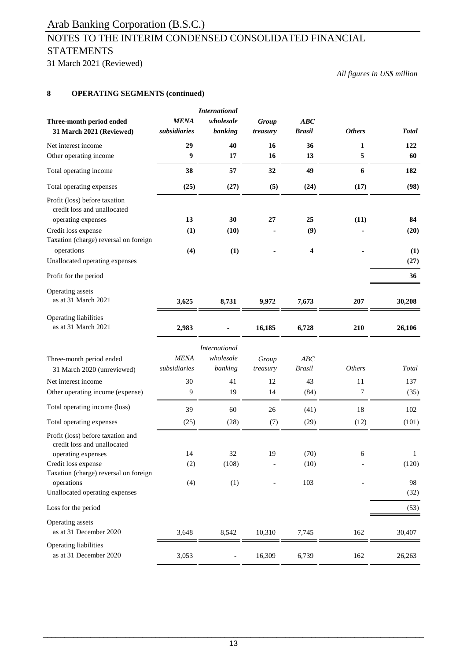# NOTES TO THE INTERIM CONDENSED CONSOLIDATED FINANCIAL **STATEMENTS**

31 March 2021 (Reviewed)

*All figures in US\$ million*

## **8 OPERATING SEGMENTS (continued)**

|                                                              |                             | <b>International</b>     |                   |                      |                  |              |
|--------------------------------------------------------------|-----------------------------|--------------------------|-------------------|----------------------|------------------|--------------|
| Three-month period ended<br>31 March 2021 (Reviewed)         | <b>MENA</b><br>subsidiaries | wholesale<br>banking     | Group<br>treasury | ABC<br><b>Brasil</b> | <b>Others</b>    | <b>Total</b> |
| Net interest income                                          | 29                          | 40                       | 16                | 36                   | 1                | 122          |
| Other operating income                                       | 9                           | 17                       | 16                | 13                   | 5                | 60           |
| Total operating income                                       | 38                          | 57                       | 32                | 49                   | $\boldsymbol{6}$ | 182          |
| Total operating expenses                                     | (25)                        | (27)                     | (5)               | (24)                 | (17)             | (98)         |
| Profit (loss) before taxation<br>credit loss and unallocated |                             |                          |                   |                      |                  |              |
| operating expenses                                           | 13                          | 30                       | 27                | 25                   | (11)             | 84           |
| Credit loss expense                                          | (1)                         | (10)                     |                   | (9)                  |                  | (20)         |
| Taxation (charge) reversal on foreign<br>operations          | (4)                         | (1)                      |                   | 4                    |                  | (1)          |
| Unallocated operating expenses                               |                             |                          |                   |                      |                  | (27)         |
| Profit for the period                                        |                             |                          |                   |                      |                  | 36           |
| Operating assets<br>as at 31 March 2021                      | 3,625                       | 8,731                    | 9,972             | 7,673                | 207              | 30,208       |
| Operating liabilities<br>as at 31 March 2021                 | 2,983                       |                          | 16,185            | 6,728                | 210              | 26,106       |
|                                                              |                             | <i>International</i>     |                   |                      |                  |              |
| Three-month period ended                                     | <b>MENA</b>                 | wholesale                | Group             | ABC                  |                  |              |
| 31 March 2020 (unreviewed)                                   | subsidiaries                | banking                  | treasury          | <b>Brasil</b>        | <b>Others</b>    | Total        |
| Net interest income                                          | 30                          | 41                       | 12                | 43                   | $11\,$           | 137          |
| Other operating income (expense)                             | 9                           | 19                       | 14                | (84)                 | 7                | (35)         |
| Total operating income (loss)                                | 39                          | 60                       | 26                | (41)                 | 18               | 102          |
| Total operating expenses                                     | (25)                        | (28)                     | (7)               | (29)                 | (12)             | (101)        |
| Profit (loss) before taxation and                            |                             |                          |                   |                      |                  |              |
| credit loss and unallocated                                  |                             |                          |                   |                      |                  |              |
| operating expenses                                           | 14                          | 32                       | 19                | (70)                 | 6                | 1            |
| Credit loss expense                                          | (2)                         | (108)                    |                   | (10)                 |                  | (120)        |
| Taxation (charge) reversal on foreign                        |                             |                          |                   |                      |                  |              |
| operations                                                   | (4)                         | (1)                      |                   | 103                  |                  | 98           |
| Unallocated operating expenses                               |                             |                          |                   |                      |                  | (32)         |
| Loss for the period                                          |                             |                          |                   |                      |                  | (53)         |
| Operating assets<br>as at 31 December 2020                   | 3,648                       | 8,542                    | 10,310            | 7,745                | 162              | 30,407       |
| Operating liabilities                                        |                             |                          |                   |                      |                  |              |
| as at 31 December 2020                                       | 3,053                       | $\overline{\phantom{a}}$ | 16,309            | 6,739                | 162              | 26,263       |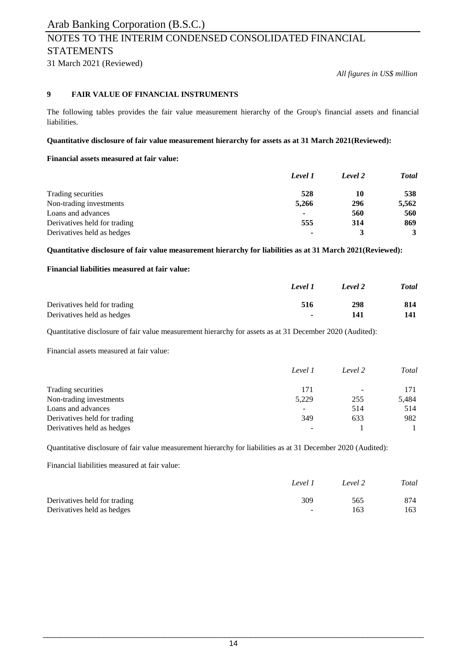# NOTES TO THE INTERIM CONDENSED CONSOLIDATED FINANCIAL **STATEMENTS**

31 March 2021 (Reviewed)

*All figures in US\$ million*

## **9 FAIR VALUE OF FINANCIAL INSTRUMENTS**

The following tables provides the fair value measurement hierarchy of the Group's financial assets and financial liabilities.

## **Quantitative disclosure of fair value measurement hierarchy for assets as at 31 March 2021(Reviewed):**

## **Financial assets measured at fair value:**

|                              | Level 1        | Level 2 | <b>Total</b> |
|------------------------------|----------------|---------|--------------|
| Trading securities           | 528            | 10      | 538          |
| Non-trading investments      | 5,266          | 296     | 5,562        |
| Loans and advances           | $\blacksquare$ | 560     | 560          |
| Derivatives held for trading | 555            | 314     | 869          |
| Derivatives held as hedges   |                |         | 3            |

**Quantitative disclosure of fair value measurement hierarchy for liabilities as at 31 March 2021(Reviewed):**

## **Financial liabilities measured at fair value:**

|                              | Level 1 | Level 2 | <b>Total</b> |
|------------------------------|---------|---------|--------------|
| Derivatives held for trading | 516     | 298     | 814          |
| Derivatives held as hedges   | $\sim$  | 141     | 141          |

Quantitative disclosure of fair value measurement hierarchy for assets as at 31 December 2020 (Audited):

Financial assets measured at fair value:

|                              | Level 1 | Level 2                  | Total |
|------------------------------|---------|--------------------------|-------|
| Trading securities           | 171     | $\overline{\phantom{0}}$ | 171   |
| Non-trading investments      | 5,229   | 255                      | 5,484 |
| Loans and advances           |         | 514                      | 514   |
| Derivatives held for trading | 349     | 633                      | 982   |
| Derivatives held as hedges   | -       |                          |       |

Quantitative disclosure of fair value measurement hierarchy for liabilities as at 31 December 2020 (Audited):

Financial liabilities measured at fair value:

|                              | Level 1                  | Level 2 | Total |
|------------------------------|--------------------------|---------|-------|
| Derivatives held for trading | 309                      | 565     | 874   |
| Derivatives held as hedges   | $\overline{\phantom{a}}$ | 163     | 163   |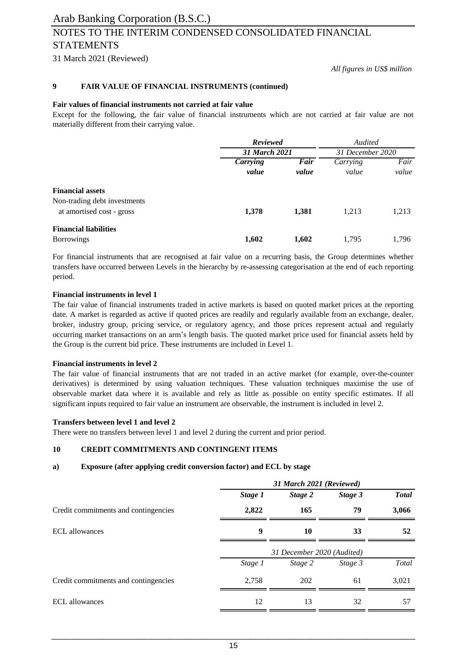# Arab Banking Corporation (B.S.C.) NOTES TO THE INTERIM CONDENSED CONSOLIDATED FINANCIAL STATEMENTS

31 March 2021 (Reviewed)

*All figures in US\$ million*

#### **9 FAIR VALUE OF FINANCIAL INSTRUMENTS (continued)**

#### **Fair values of financial instruments not carried at fair value**

Except for the following, the fair value of financial instruments which are not carried at fair value are not materially different from their carrying value.

|                                                           | <b>Reviewed</b> |       | Audited          |       |
|-----------------------------------------------------------|-----------------|-------|------------------|-------|
|                                                           | 31 March 2021   |       | 31 December 2020 |       |
|                                                           | <b>Carrying</b> | Fair  | Carrying         | Fair  |
|                                                           | value           | value | value            | value |
| <b>Financial assets</b>                                   |                 |       |                  |       |
| Non-trading debt investments<br>at amortised cost - gross | 1,378           | 1,381 | 1,213            | 1,213 |
| <b>Financial liabilities</b><br><b>Borrowings</b>         | 1,602           | 1,602 | 1,795            | 1,796 |

For financial instruments that are recognised at fair value on a recurring basis, the Group determines whether transfers have occurred between Levels in the hierarchy by re-assessing categorisation at the end of each reporting period.

## **Financial instruments in level 1**

The fair value of financial instruments traded in active markets is based on quoted market prices at the reporting date. A market is regarded as active if quoted prices are readily and regularly available from an exchange, dealer, broker, industry group, pricing service, or regulatory agency, and those prices represent actual and regularly occurring market transactions on an arm's length basis. The quoted market price used for financial assets held by the Group is the current bid price. These instruments are included in Level 1.

#### **Financial instruments in level 2**

The fair value of financial instruments that are not traded in an active market (for example, over-the-counter derivatives) is determined by using valuation techniques. These valuation techniques maximise the use of observable market data where it is available and rely as little as possible on entity specific estimates. If all significant inputs required to fair value an instrument are observable, the instrument is included in level 2.

#### **Transfers between level 1 and level 2**

There were no transfers between level 1 and level 2 during the current and prior period.

#### **10 CREDIT COMMITMENTS AND CONTINGENT ITEMS**

#### **a) Exposure (after applying credit conversion factor) and ECL by stage**

|                                      | 31 March 2021 (Reviewed) |                            |         |              |  |
|--------------------------------------|--------------------------|----------------------------|---------|--------------|--|
|                                      | Stage 1                  | Stage 2                    | Stage 3 | <b>Total</b> |  |
| Credit commitments and contingencies | 2,822                    | 165                        | 79      | 3,066        |  |
| ECL allowances                       | 9                        | 10                         | 33      | 52           |  |
|                                      |                          | 31 December 2020 (Audited) |         |              |  |
|                                      | Stage 1                  | Stage 2                    | Stage 3 | Total        |  |
| Credit commitments and contingencies | 2,758                    | 202                        | 61      | 3,021        |  |
| <b>ECL</b> allowances                | 12                       | 13                         | 32      | 57           |  |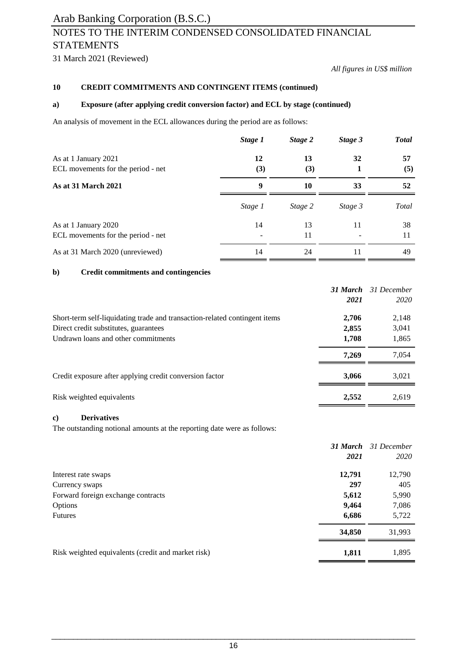# NOTES TO THE INTERIM CONDENSED CONSOLIDATED FINANCIAL **STATEMENTS**

31 March 2021 (Reviewed)

*All figures in US\$ million*

*31 March 31 December*

## **10 CREDIT COMMITMENTS AND CONTINGENT ITEMS (continued)**

## **a) Exposure (after applying credit conversion factor) and ECL by stage (continued)**

An analysis of movement in the ECL allowances during the period are as follows:

|                                                            | Stage 1   | Stage 2   | Stage 3 | <b>Total</b> |
|------------------------------------------------------------|-----------|-----------|---------|--------------|
| As at 1 January 2021<br>ECL movements for the period - net | 12<br>(3) | 13<br>(3) | 32      | 57<br>(5)    |
| <b>As at 31 March 2021</b>                                 | 9         | 10        | 33      | 52           |
|                                                            | Stage 1   | Stage 2   | Stage 3 | Total        |
| As at 1 January 2020<br>ECL movements for the period - net | 14        | 13<br>11  | 11      | 38<br>11     |
| As at 31 March 2020 (unreviewed)                           | 14        | 24        | 11      | 49           |

## **b) Credit commitments and contingencies**

|                                                                            | 31 March | 31 December |
|----------------------------------------------------------------------------|----------|-------------|
|                                                                            | 2021     | 2020        |
| Short-term self-liquidating trade and transaction-related contingent items | 2,706    | 2,148       |
| Direct credit substitutes, guarantees                                      | 2,855    | 3,041       |
| Undrawn loans and other commitments                                        | 1,708    | 1,865       |
|                                                                            | 7.269    | 7,054       |
| Credit exposure after applying credit conversion factor                    | 3,066    | 3,021       |
| Risk weighted equivalents                                                  | 2,552    | 2,619       |

## **c) Derivatives**

The outstanding notional amounts at the reporting date were as follows:

|                                                    |        | <b>31 March</b> 31 December |
|----------------------------------------------------|--------|-----------------------------|
|                                                    | 2021   | 2020                        |
| Interest rate swaps                                | 12,791 | 12,790                      |
| Currency swaps                                     | 297    | 405                         |
| Forward foreign exchange contracts                 | 5,612  | 5,990                       |
| Options                                            | 9,464  | 7,086                       |
| <b>Futures</b>                                     | 6,686  | 5,722                       |
|                                                    | 34,850 | 31,993                      |
| Risk weighted equivalents (credit and market risk) | 1,811  | 1,895                       |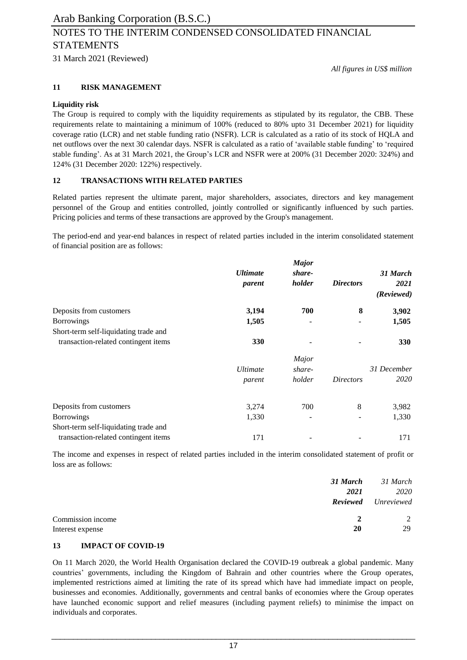# NOTES TO THE INTERIM CONDENSED CONSOLIDATED FINANCIAL STATEMENTS

31 March 2021 (Reviewed)

*All figures in US\$ million*

## **11 RISK MANAGEMENT**

## **Liquidity risk**

The Group is required to comply with the liquidity requirements as stipulated by its regulator, the CBB. These requirements relate to maintaining a minimum of 100% (reduced to 80% upto 31 December 2021) for liquidity coverage ratio (LCR) and net stable funding ratio (NSFR). LCR is calculated as a ratio of its stock of HQLA and net outflows over the next 30 calendar days. NSFR is calculated as a ratio of 'available stable funding' to 'required stable funding'. As at 31 March 2021, the Group's LCR and NSFR were at 200% (31 December 2020: 324%) and 124% (31 December 2020: 122%) respectively.

## **12 TRANSACTIONS WITH RELATED PARTIES**

Related parties represent the ultimate parent, major shareholders, associates, directors and key management personnel of the Group and entities controlled, jointly controlled or significantly influenced by such parties. Pricing policies and terms of these transactions are approved by the Group's management.

The period-end and year-end balances in respect of related parties included in the interim consolidated statement of financial position are as follows:

|                                       |                 | <b>Major</b> |                  |             |
|---------------------------------------|-----------------|--------------|------------------|-------------|
|                                       | <b>Ultimate</b> | share-       |                  | 31 March    |
|                                       | parent          | holder       | <i>Directors</i> | 2021        |
|                                       |                 |              |                  | (Reviewed)  |
| Deposits from customers               | 3,194           | 700          | 8                | 3,902       |
| <b>Borrowings</b>                     | 1,505           |              |                  | 1,505       |
| Short-term self-liquidating trade and |                 |              |                  |             |
| transaction-related contingent items  | 330             |              |                  | <b>330</b>  |
|                                       |                 | Major        |                  |             |
|                                       | <i>Ultimate</i> | share-       |                  | 31 December |
|                                       | parent          | holder       | <i>Directors</i> | 2020        |
| Deposits from customers               | 3,274           | 700          | 8                | 3,982       |
| <b>Borrowings</b>                     | 1,330           |              |                  | 1,330       |
| Short-term self-liquidating trade and |                 |              |                  |             |
| transaction-related contingent items  | 171             |              |                  | 171         |

The income and expenses in respect of related parties included in the interim consolidated statement of profit or loss are as follows:

|                   | 31 March | 31 March                   |
|-------------------|----------|----------------------------|
|                   | 2021     | 2020                       |
|                   |          | <b>Reviewed</b> Unreviewed |
| Commission income | 2        | $2^{1}$                    |
| Interest expense  | 20       | 29                         |

## **13 IMPACT OF COVID-19**

On 11 March 2020, the World Health Organisation declared the COVID-19 outbreak a global pandemic. Many countries' governments, including the Kingdom of Bahrain and other countries where the Group operates, implemented restrictions aimed at limiting the rate of its spread which have had immediate impact on people, businesses and economies. Additionally, governments and central banks of economies where the Group operates have launched economic support and relief measures (including payment reliefs) to minimise the impact on individuals and corporates.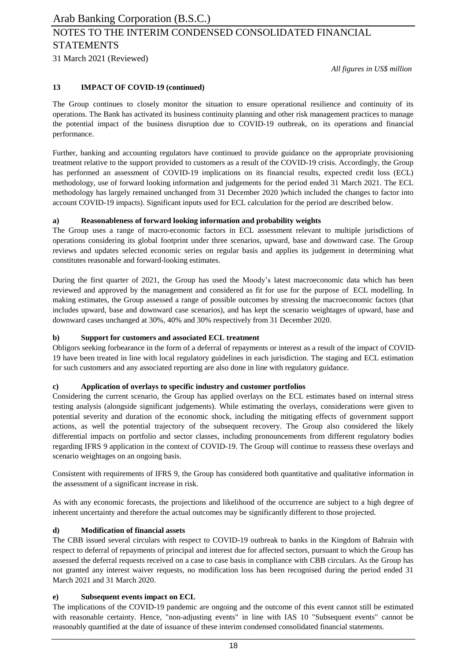*All figures in US\$ million*

## **13 IMPACT OF COVID-19 (continued)**

The Group continues to closely monitor the situation to ensure operational resilience and continuity of its operations. The Bank has activated its business continuity planning and other risk management practices to manage the potential impact of the business disruption due to COVID-19 outbreak, on its operations and financial performance.

Further, banking and accounting regulators have continued to provide guidance on the appropriate provisioning treatment relative to the support provided to customers as a result of the COVID-19 crisis. Accordingly, the Group has performed an assessment of COVID-19 implications on its financial results, expected credit loss (ECL) methodology, use of forward looking information and judgements for the period ended 31 March 2021. The ECL methodology has largely remained unchanged from 31 December 2020 )which included the changes to factor into account COVID-19 impacts). Significant inputs used for ECL calculation for the period are described below.

## **a) Reasonableness of forward looking information and probability weights**

The Group uses a range of macro-economic factors in ECL assessment relevant to multiple jurisdictions of operations considering its global footprint under three scenarios, upward, base and downward case. The Group reviews and updates selected economic series on regular basis and applies its judgement in determining what constitutes reasonable and forward-looking estimates.

During the first quarter of 2021, the Group has used the Moody's latest macroeconomic data which has been reviewed and approved by the management and considered as fit for use for the purpose of ECL modelling. In making estimates, the Group assessed a range of possible outcomes by stressing the macroeconomic factors (that includes upward, base and downward case scenarios), and has kept the scenario weightages of upward, base and downward cases unchanged at 30%, 40% and 30% respectively from 31 December 2020.

## **b) Support for customers and associated ECL treatment**

Obligors seeking forbearance in the form of a deferral of repayments or interest as a result of the impact of COVID-19 have been treated in line with local regulatory guidelines in each jurisdiction. The staging and ECL estimation for such customers and any associated reporting are also done in line with regulatory guidance.

## **c) Application of overlays to specific industry and customer portfolios**

Considering the current scenario, the Group has applied overlays on the ECL estimates based on internal stress testing analysis (alongside significant judgements). While estimating the overlays, considerations were given to potential severity and duration of the economic shock, including the mitigating effects of government support actions, as well the potential trajectory of the subsequent recovery. The Group also considered the likely differential impacts on portfolio and sector classes, including pronouncements from different regulatory bodies regarding IFRS 9 application in the context of COVID-19. The Group will continue to reassess these overlays and scenario weightages on an ongoing basis.

Consistent with requirements of IFRS 9, the Group has considered both quantitative and qualitative information in the assessment of a significant increase in risk.

As with any economic forecasts, the projections and likelihood of the occurrence are subject to a high degree of inherent uncertainty and therefore the actual outcomes may be significantly different to those projected.

## **d) Modification of financial assets**

The CBB issued several circulars with respect to COVID-19 outbreak to banks in the Kingdom of Bahrain with respect to deferral of repayments of principal and interest due for affected sectors, pursuant to which the Group has assessed the deferral requests received on a case to case basis in compliance with CBB circulars. As the Group has not granted any interest waiver requests, no modification loss has been recognised during the period ended 31 March 2021 and 31 March 2020.

## **e) Subsequent events impact on ECL**

The implications of the COVID-19 pandemic are ongoing and the outcome of this event cannot still be estimated with reasonable certainty. Hence, "non-adjusting events" in line with IAS 10 "Subsequent events" cannot be reasonably quantified at the date of issuance of these interim condensed consolidated financial statements.